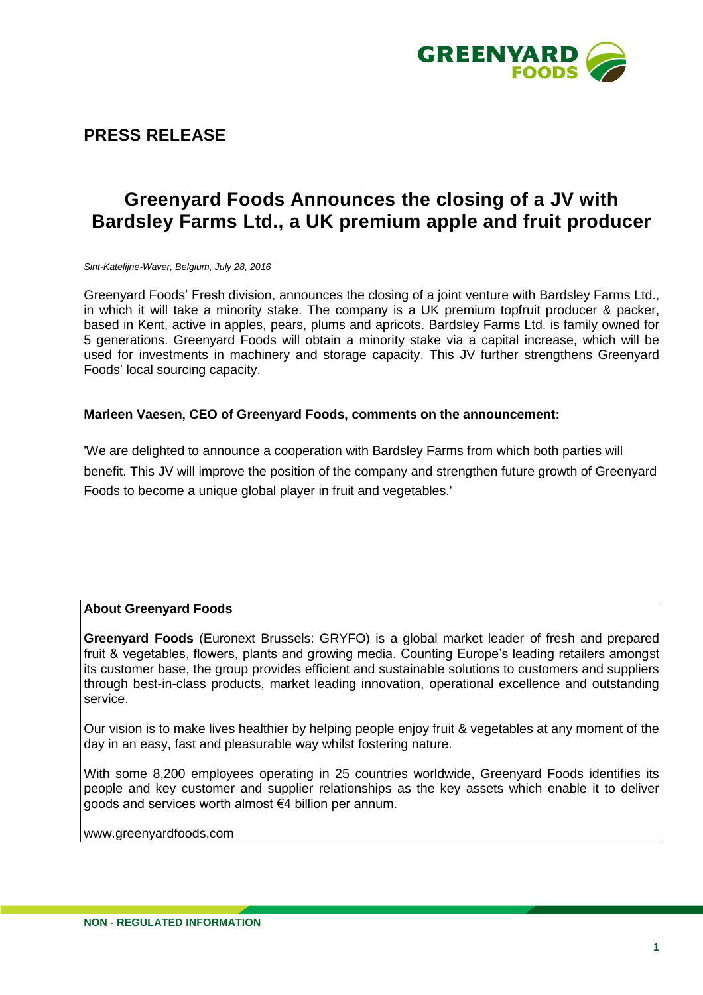

**PRESS RELEASE**

## **Greenyard Foods Announces the closing of a JV with Bardsley Farms Ltd., a UK premium apple and fruit producer**

*Sint-Katelijne-Waver, Belgium, July 28, 2016*

Greenyard Foods' Fresh division, announces the closing of a joint venture with Bardsley Farms Ltd., in which it will take a minority stake. The company is a UK premium topfruit producer & packer, based in Kent, active in apples, pears, plums and apricots. Bardsley Farms Ltd. is family owned for 5 generations. Greenyard Foods will obtain a minority stake via a capital increase, which will be used for investments in machinery and storage capacity. This JV further strengthens Greenyard Foods' local sourcing capacity.

## **Marleen Vaesen, CEO of Greenyard Foods, comments on the announcement:**

'We are delighted to announce a cooperation with Bardsley Farms from which both parties will benefit. This JV will improve the position of the company and strengthen future growth of Greenyard Foods to become a unique global player in fruit and vegetables.'

## **About Greenyard Foods**

**Greenyard Foods** (Euronext Brussels: GRYFO) is a global market leader of fresh and prepared fruit & vegetables, flowers, plants and growing media. Counting Europe's leading retailers amongst its customer base, the group provides efficient and sustainable solutions to customers and suppliers through best-in-class products, market leading innovation, operational excellence and outstanding service.

Our vision is to make lives healthier by helping people enjoy fruit & vegetables at any moment of the day in an easy, fast and pleasurable way whilst fostering nature.

With some 8,200 employees operating in 25 countries worldwide, Greenyard Foods identifies its people and key customer and supplier relationships as the key assets which enable it to deliver goods and services worth almost €4 billion per annum.

[www.greenyardfoods.com](http://www.greenyardfoods.com/)